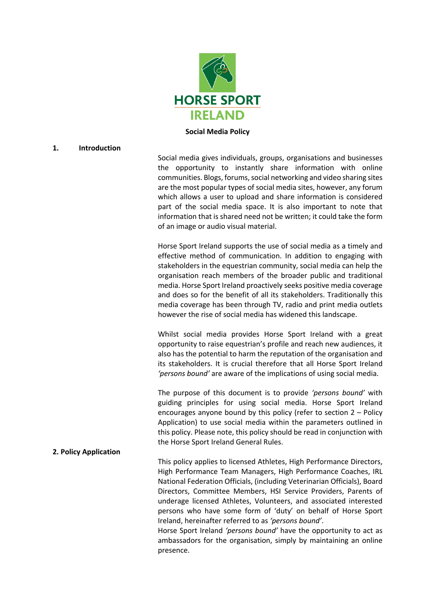

**Social Media Policy**

# **1. Introduction**

Social media gives individuals, groups, organisations and businesses the opportunity to instantly share information with online communities. Blogs, forums, social networking and video sharing sites are the most popular types of social media sites, however, any forum which allows a user to upload and share information is considered part of the social media space. It is also important to note that information that is shared need not be written; it could take the form of an image or audio visual material.

Horse Sport Ireland supports the use of social media as a timely and effective method of communication. In addition to engaging with stakeholders in the equestrian community, social media can help the organisation reach members of the broader public and traditional media. Horse Sport Ireland proactively seeks positive media coverage and does so for the benefit of all its stakeholders. Traditionally this media coverage has been through TV, radio and print media outlets however the rise of social media has widened this landscape.

Whilst social media provides Horse Sport Ireland with a great opportunity to raise equestrian's profile and reach new audiences, it also has the potential to harm the reputation of the organisation and its stakeholders. It is crucial therefore that all Horse Sport Ireland *'persons bound'* are aware of the implications of using social media.

The purpose of this document is to provide *'persons bound'* with guiding principles for using social media. Horse Sport Ireland encourages anyone bound by this policy (refer to section 2 – Policy Application) to use social media within the parameters outlined in this policy. Please note, this policy should be read in conjunction with the Horse Sport Ireland General Rules.

# **2. Policy Application**

This policy applies to licensed Athletes, High Performance Directors, High Performance Team Managers, High Performance Coaches, IRL National Federation Officials, (including Veterinarian Officials), Board Directors, Committee Members, HSI Service Providers, Parents of underage licensed Athletes, Volunteers, and associated interested persons who have some form of 'duty' on behalf of Horse Sport Ireland, hereinafter referred to as *'persons bound'*.

Horse Sport Ireland *'persons bound'* have the opportunity to act as ambassadors for the organisation, simply by maintaining an online presence.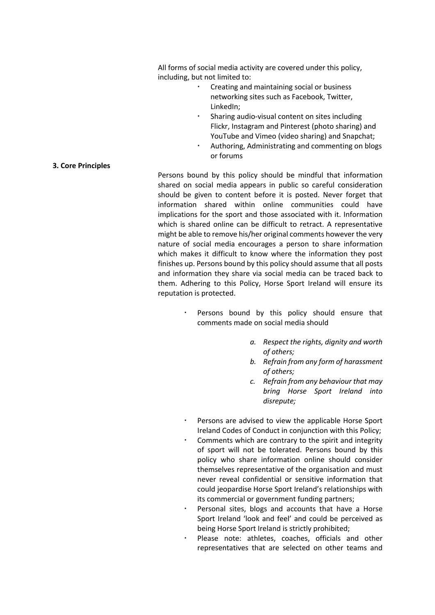All forms of social media activity are covered under this policy, including, but not limited to:

- Creating and maintaining social or business networking sites such as Facebook, Twitter, LinkedIn;
- Sharing audio-visual content on sites including Flickr, Instagram and Pinterest (photo sharing) and YouTube and Vimeo (video sharing) and Snapchat;
- Authoring, Administrating and commenting on blogs or forums

### **3. Core Principles**

Persons bound by this policy should be mindful that information shared on social media appears in public so careful consideration should be given to content before it is posted. Never forget that information shared within online communities could have implications for the sport and those associated with it. Information which is shared online can be difficult to retract. A representative might be able to remove his/her original comments however the very nature of social media encourages a person to share information which makes it difficult to know where the information they post finishes up. Persons bound by this policy should assume that all posts and information they share via social media can be traced back to them. Adhering to this Policy, Horse Sport Ireland will ensure its reputation is protected.

- Persons bound by this policy should ensure that comments made on social media should
	- *a. Respect the rights, dignity and worth of others;*
	- *b. Refrain from any form of harassment of others;*
	- *c. Refrain from any behaviour that may bring Horse Sport Ireland into disrepute;*
- Persons are advised to view the applicable Horse Sport Ireland Codes of Conduct in conjunction with this Policy;
- Comments which are contrary to the spirit and integrity of sport will not be tolerated. Persons bound by this policy who share information online should consider themselves representative of the organisation and must never reveal confidential or sensitive information that could jeopardise Horse Sport Ireland's relationships with its commercial or government funding partners;
- Personal sites, blogs and accounts that have a Horse Sport Ireland 'look and feel' and could be perceived as being Horse Sport Ireland is strictly prohibited;
- Please note: athletes, coaches, officials and other representatives that are selected on other teams and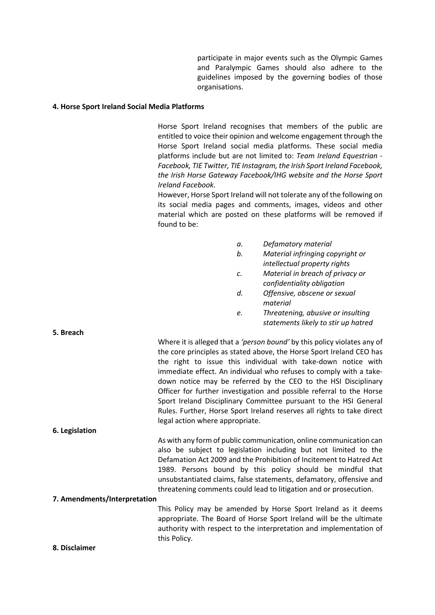participate in major events such as the Olympic Games and Paralympic Games should also adhere to the guidelines imposed by the governing bodies of those organisations.

#### **4. Horse Sport Ireland Social Media Platforms**

Horse Sport Ireland recognises that members of the public are entitled to voice their opinion and welcome engagement through the Horse Sport Ireland social media platforms. These social media platforms include but are not limited to: *Team Ireland Equestrian - Facebook, TIE Twitter, TIE Instagram, the Irish Sport Ireland Facebook, the Irish Horse Gateway Facebook/IHG website and the Horse Sport Ireland Facebook.* 

However, Horse Sport Ireland will not tolerate any of the following on its social media pages and comments, images, videos and other material which are posted on these platforms will be removed if found to be:

- *a. Defamatory material*
- *b. Material infringing copyright or intellectual property rights*
- *c. Material in breach of privacy or confidentiality obligation*
- *d. Offensive, obscene or sexual material*
- *e. Threatening, abusive or insulting statements likely to stir up hatred*

|                | Where it is alleged that a 'person bound' by this policy violates any of |
|----------------|--------------------------------------------------------------------------|
|                | the core principles as stated above, the Horse Sport Ireland CEO has     |
|                | the right to issue this individual with take-down notice with            |
|                | immediate effect. An individual who refuses to comply with a take-       |
|                | down notice may be referred by the CEO to the HSI Disciplinary           |
|                | Officer for further investigation and possible referral to the Horse     |
|                | Sport Ireland Disciplinary Committee pursuant to the HSI General         |
|                | Rules. Further, Horse Sport Ireland reserves all rights to take direct   |
|                | legal action where appropriate.                                          |
| 6. Legislation |                                                                          |
|                | As with any form of public communication, online communication can       |

also be subject to legislation including but not limited to the Defamation Act 2009 and the Prohibition of Incitement to Hatred Act 1989. Persons bound by this policy should be mindful that unsubstantiated claims, false statements, defamatory, offensive and threatening comments could lead to litigation and or prosecution.

### **7. Amendments/Interpretation**

This Policy may be amended by Horse Sport Ireland as it deems appropriate. The Board of Horse Sport Ireland will be the ultimate authority with respect to the interpretation and implementation of this Policy.

**8. Disclaimer**

**5. Breach**